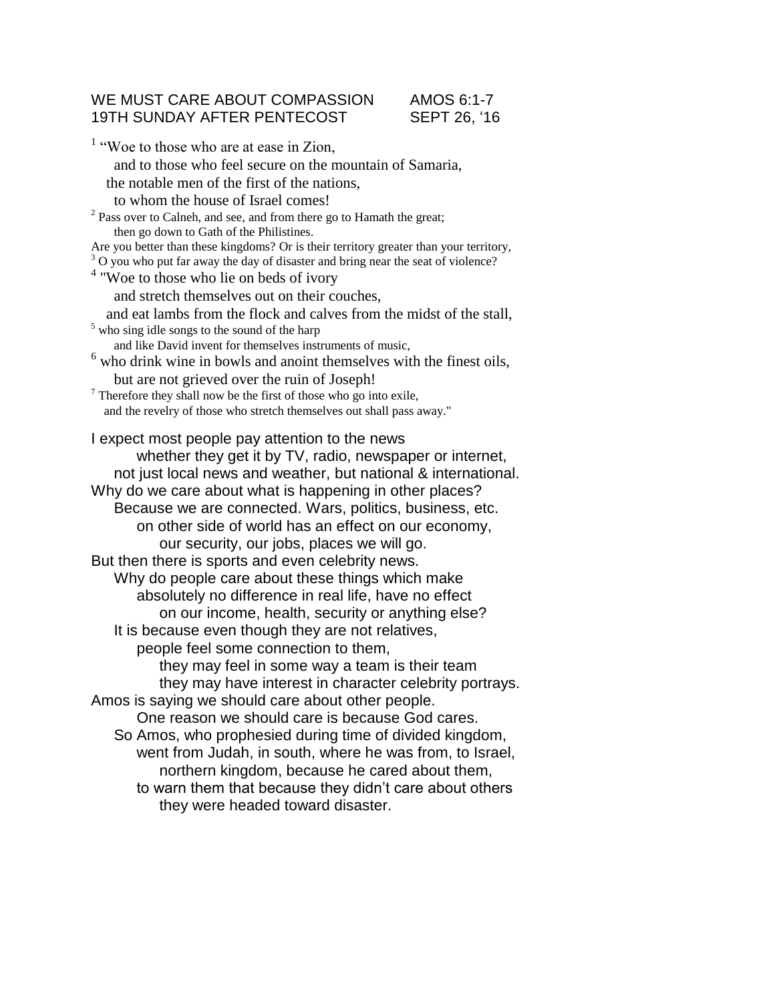## WE MUST CARE ABOUT COMPASSION AMOS 6:1-7 19TH SUNDAY AFTER PENTECOST SEPT 26, '16

<sup>1</sup> "Woe to those who are at ease in Zion, and to those who feel secure on the mountain of Samaria, the notable men of the first of the nations, to whom the house of Israel comes!  $2$  Pass over to Calneh, and see, and from there go to Hamath the great; then go down to Gath of the Philistines. Are you better than these kingdoms? Or is their territory greater than your territory,  $3$  O you who put far away the day of disaster and bring near the seat of violence? 4 "Woe to those who lie on beds of ivory and stretch themselves out on their couches, and eat lambs from the flock and calves from the midst of the stall, <sup>5</sup> who sing idle songs to the sound of the harp and like David invent for themselves instruments of music,  $<sup>6</sup>$  who drink wine in bowls and anoint themselves with the finest oils,</sup> but are not grieved over the ruin of Joseph!  $7$  Therefore they shall now be the first of those who go into exile, and the revelry of those who stretch themselves out shall pass away." I expect most people pay attention to the news whether they get it by TV, radio, newspaper or internet, not just local news and weather, but national & international. Why do we care about what is happening in other places? Because we are connected. Wars, politics, business, etc. on other side of world has an effect on our economy, our security, our jobs, places we will go. But then there is sports and even celebrity news. Why do people care about these things which make absolutely no difference in real life, have no effect on our income, health, security or anything else? It is because even though they are not relatives, people feel some connection to them, they may feel in some way a team is their team they may have interest in character celebrity portrays. Amos is saying we should care about other people. One reason we should care is because God cares. So Amos, who prophesied during time of divided kingdom, went from Judah, in south, where he was from, to Israel, northern kingdom, because he cared about them, to warn them that because they didn't care about others they were headed toward disaster.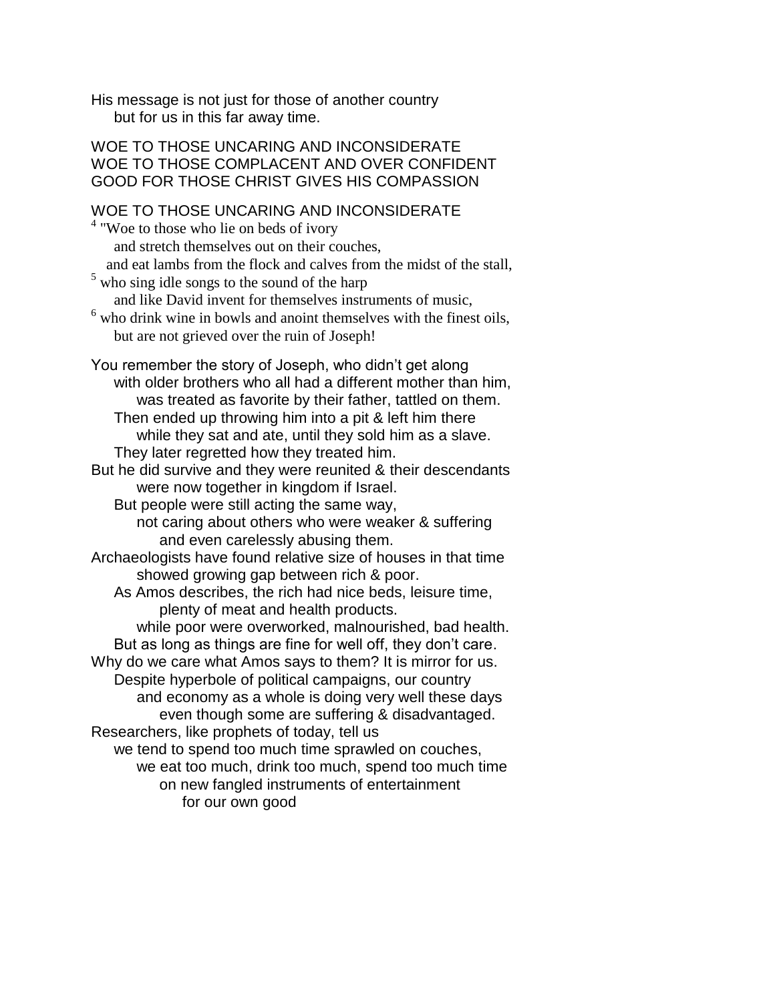His message is not just for those of another country but for us in this far away time.

WOE TO THOSE UNCARING AND INCONSIDERATE WOE TO THOSE COMPLACENT AND OVER CONFIDENT GOOD FOR THOSE CHRIST GIVES HIS COMPASSION WOE TO THOSE UNCARING AND INCONSIDERATE <sup>4</sup> "Woe to those who lie on beds of ivory and stretch themselves out on their couches, and eat lambs from the flock and calves from the midst of the stall,  $<sup>5</sup>$  who sing idle songs to the sound of the harp</sup> and like David invent for themselves instruments of music,  $<sup>6</sup>$  who drink wine in bowls and anoint themselves with the finest oils,</sup> but are not grieved over the ruin of Joseph! You remember the story of Joseph, who didn't get along with older brothers who all had a different mother than him, was treated as favorite by their father, tattled on them. Then ended up throwing him into a pit & left him there while they sat and ate, until they sold him as a slave. They later regretted how they treated him. But he did survive and they were reunited & their descendants were now together in kingdom if Israel. But people were still acting the same way, not caring about others who were weaker & suffering and even carelessly abusing them. Archaeologists have found relative size of houses in that time showed growing gap between rich & poor. As Amos describes, the rich had nice beds, leisure time, plenty of meat and health products. while poor were overworked, malnourished, bad health. But as long as things are fine for well off, they don't care. Why do we care what Amos says to them? It is mirror for us. Despite hyperbole of political campaigns, our country and economy as a whole is doing very well these days even though some are suffering & disadvantaged. Researchers, like prophets of today, tell us we tend to spend too much time sprawled on couches, we eat too much, drink too much, spend too much time on new fangled instruments of entertainment for our own good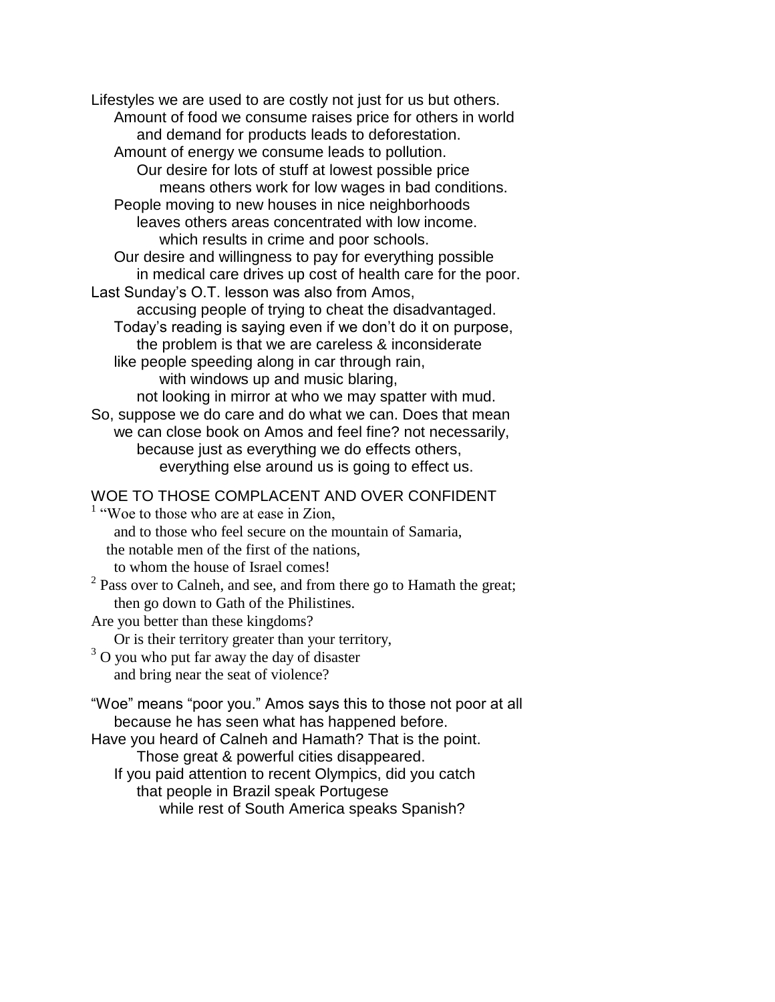Lifestyles we are used to are costly not just for us but others. Amount of food we consume raises price for others in world and demand for products leads to deforestation.

Amount of energy we consume leads to pollution. Our desire for lots of stuff at lowest possible price means others work for low wages in bad conditions. People moving to new houses in nice neighborhoods leaves others areas concentrated with low income.

which results in crime and poor schools.

Our desire and willingness to pay for everything possible in medical care drives up cost of health care for the poor. Last Sunday's O.T. lesson was also from Amos,

accusing people of trying to cheat the disadvantaged. Today's reading is saying even if we don't do it on purpose, the problem is that we are careless & inconsiderate like people speeding along in car through rain,

with windows up and music blaring,

not looking in mirror at who we may spatter with mud. So, suppose we do care and do what we can. Does that mean we can close book on Amos and feel fine? not necessarily, because just as everything we do effects others, everything else around us is going to effect us.

## WOE TO THOSE COMPLACENT AND OVER CONFIDENT

<sup>1</sup> "Woe to those who are at ease in Zion, and to those who feel secure on the mountain of Samaria, the notable men of the first of the nations, to whom the house of Israel comes!

 $2$  Pass over to Calneh, and see, and from there go to Hamath the great; then go down to Gath of the Philistines.

## Are you better than these kingdoms?

Or is their territory greater than your territory,

<sup>3</sup> O you who put far away the day of disaster and bring near the seat of violence?

"Woe" means "poor you." Amos says this to those not poor at all because he has seen what has happened before.

Have you heard of Calneh and Hamath? That is the point. Those great & powerful cities disappeared.

If you paid attention to recent Olympics, did you catch that people in Brazil speak Portugese

while rest of South America speaks Spanish?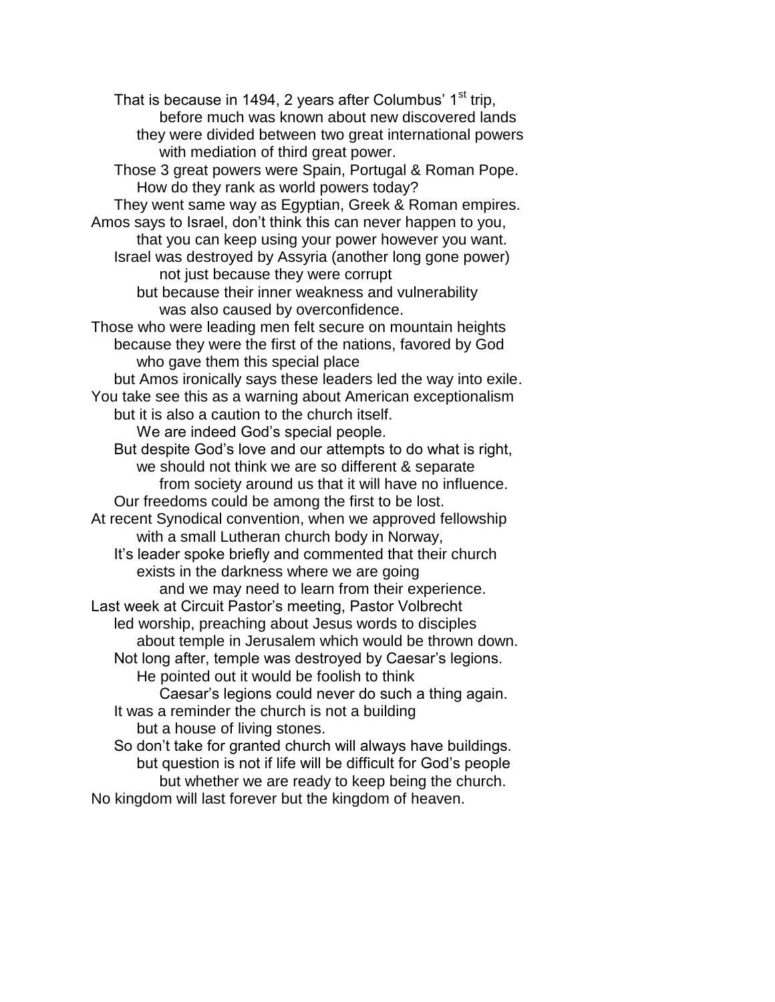That is because in 1494, 2 years after Columbus'  $1<sup>st</sup>$  trip, before much was known about new discovered lands they were divided between two great international powers with mediation of third great power. Those 3 great powers were Spain, Portugal & Roman Pope. How do they rank as world powers today? They went same way as Egyptian, Greek & Roman empires. Amos says to Israel, don't think this can never happen to you, that you can keep using your power however you want. Israel was destroyed by Assyria (another long gone power) not just because they were corrupt but because their inner weakness and vulnerability was also caused by overconfidence. Those who were leading men felt secure on mountain heights because they were the first of the nations, favored by God who gave them this special place but Amos ironically says these leaders led the way into exile. You take see this as a warning about American exceptionalism but it is also a caution to the church itself. We are indeed God's special people. But despite God's love and our attempts to do what is right, we should not think we are so different & separate from society around us that it will have no influence. Our freedoms could be among the first to be lost. At recent Synodical convention, when we approved fellowship with a small Lutheran church body in Norway, It's leader spoke briefly and commented that their church exists in the darkness where we are going and we may need to learn from their experience. Last week at Circuit Pastor's meeting, Pastor Volbrecht led worship, preaching about Jesus words to disciples about temple in Jerusalem which would be thrown down. Not long after, temple was destroyed by Caesar's legions. He pointed out it would be foolish to think Caesar's legions could never do such a thing again. It was a reminder the church is not a building but a house of living stones. So don't take for granted church will always have buildings. but question is not if life will be difficult for God's people but whether we are ready to keep being the church. No kingdom will last forever but the kingdom of heaven.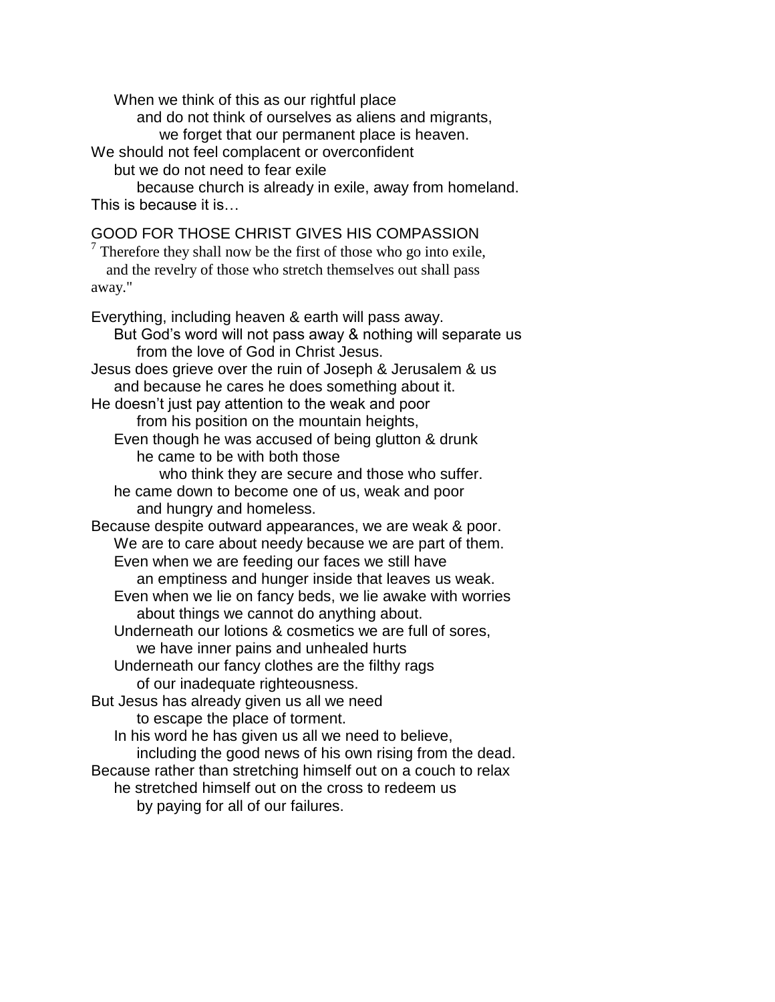When we think of this as our rightful place and do not think of ourselves as aliens and migrants, we forget that our permanent place is heaven. We should not feel complacent or overconfident

but we do not need to fear exile

because church is already in exile, away from homeland. This is because it is…

GOOD FOR THOSE CHRIST GIVES HIS COMPASSION

 $7$  Therefore they shall now be the first of those who go into exile, and the revelry of those who stretch themselves out shall pass away."

Everything, including heaven & earth will pass away.

But God's word will not pass away & nothing will separate us from the love of God in Christ Jesus.

Jesus does grieve over the ruin of Joseph & Jerusalem & us and because he cares he does something about it.

He doesn't just pay attention to the weak and poor from his position on the mountain heights,

Even though he was accused of being glutton & drunk he came to be with both those

who think they are secure and those who suffer.

he came down to become one of us, weak and poor and hungry and homeless.

Because despite outward appearances, we are weak & poor. We are to care about needy because we are part of them. Even when we are feeding our faces we still have

an emptiness and hunger inside that leaves us weak.

Even when we lie on fancy beds, we lie awake with worries about things we cannot do anything about.

Underneath our lotions & cosmetics we are full of sores, we have inner pains and unhealed hurts

Underneath our fancy clothes are the filthy rags

of our inadequate righteousness.

But Jesus has already given us all we need

to escape the place of torment.

In his word he has given us all we need to believe,

including the good news of his own rising from the dead.

Because rather than stretching himself out on a couch to relax

he stretched himself out on the cross to redeem us

by paying for all of our failures.